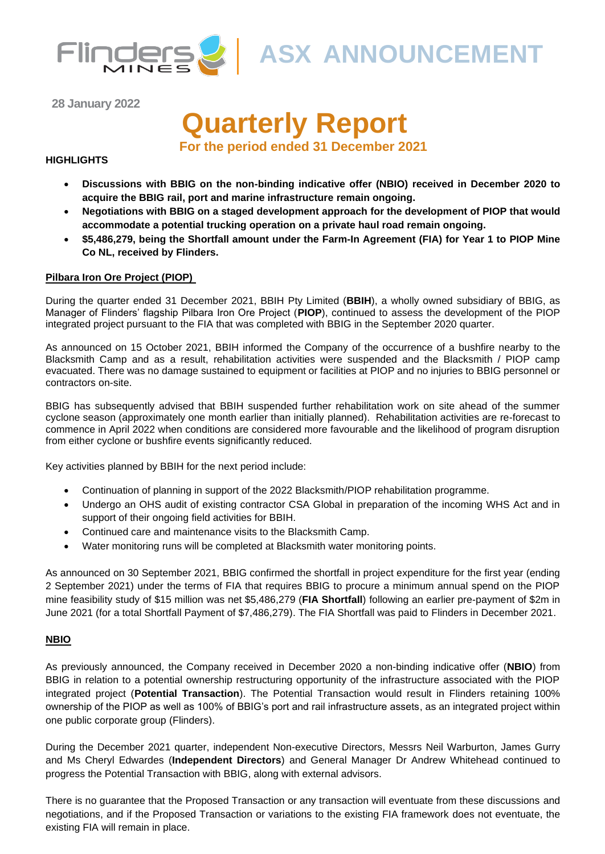

**ASX ANNOUNCEMENT** 

**28 January 2022**

# **Quarterly Report**

**For the period ended 31 December 2021**

#### **HIGHLIGHTS**

- **Discussions with BBIG on the non-binding indicative offer (NBIO) received in December 2020 to acquire the BBIG rail, port and marine infrastructure remain ongoing.**
- **Negotiations with BBIG on a staged development approach for the development of PIOP that would accommodate a potential trucking operation on a private haul road remain ongoing.**
- **\$5,486,279, being the Shortfall amount under the Farm-In Agreement (FIA) for Year 1 to PIOP Mine Co NL, received by Flinders.**

#### **Pilbara Iron Ore Project (PIOP)**

During the quarter ended 31 December 2021, BBIH Pty Limited (**BBIH**), a wholly owned subsidiary of BBIG, as Manager of Flinders' flagship Pilbara Iron Ore Project (**PIOP**), continued to assess the development of the PIOP integrated project pursuant to the FIA that was completed with BBIG in the September 2020 quarter.

As announced on 15 October 2021, BBIH informed the Company of the occurrence of a bushfire nearby to the Blacksmith Camp and as a result, rehabilitation activities were suspended and the Blacksmith / PIOP camp evacuated. There was no damage sustained to equipment or facilities at PIOP and no injuries to BBIG personnel or contractors on-site.

BBIG has subsequently advised that BBIH suspended further rehabilitation work on site ahead of the summer cyclone season (approximately one month earlier than initially planned). Rehabilitation activities are re-forecast to commence in April 2022 when conditions are considered more favourable and the likelihood of program disruption from either cyclone or bushfire events significantly reduced.

Key activities planned by BBIH for the next period include:

- Continuation of planning in support of the 2022 Blacksmith/PIOP rehabilitation programme.
- Undergo an OHS audit of existing contractor CSA Global in preparation of the incoming WHS Act and in support of their ongoing field activities for BBIH.
- Continued care and maintenance visits to the Blacksmith Camp.
- Water monitoring runs will be completed at Blacksmith water monitoring points.

As announced on 30 September 2021, BBIG confirmed the shortfall in project expenditure for the first year (ending 2 September 2021) under the terms of FIA that requires BBIG to procure a minimum annual spend on the PIOP mine feasibility study of \$15 million was net \$5,486,279 (**FIA Shortfall**) following an earlier pre-payment of \$2m in June 2021 (for a total Shortfall Payment of \$7,486,279). The FIA Shortfall was paid to Flinders in December 2021.

#### **NBIO**

As previously announced, the Company received in December 2020 a non-binding indicative offer (**NBIO**) from BBIG in relation to a potential ownership restructuring opportunity of the infrastructure associated with the PIOP integrated project (**Potential Transaction**). The Potential Transaction would result in Flinders retaining 100% ownership of the PIOP as well as 100% of BBIG's port and rail infrastructure assets, as an integrated project within one public corporate group (Flinders).

During the December 2021 quarter, independent Non-executive Directors, Messrs Neil Warburton, James Gurry and Ms Cheryl Edwardes (**Independent Directors**) and General Manager Dr Andrew Whitehead continued to progress the Potential Transaction with BBIG, along with external advisors.

There is no guarantee that the Proposed Transaction or any transaction will eventuate from these discussions and negotiations, and if the Proposed Transaction or variations to the existing FIA framework does not eventuate, the existing FIA will remain in place.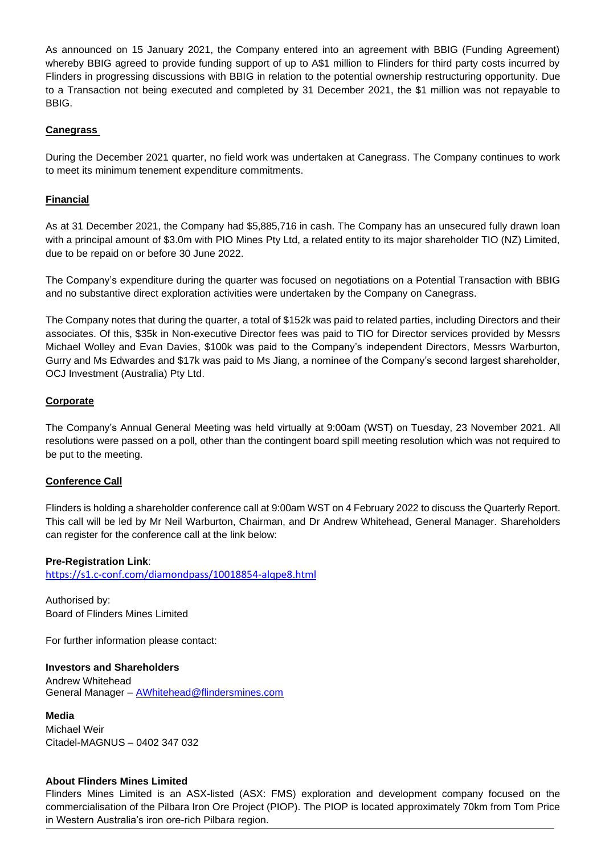As announced on 15 January 2021, the Company entered into an agreement with BBIG (Funding Agreement) whereby BBIG agreed to provide funding support of up to A\$1 million to Flinders for third party costs incurred by Flinders in progressing discussions with BBIG in relation to the potential ownership restructuring opportunity. Due to a Transaction not being executed and completed by 31 December 2021, the \$1 million was not repayable to BBIG.

#### **Canegrass**

During the December 2021 quarter, no field work was undertaken at Canegrass. The Company continues to work to meet its minimum tenement expenditure commitments.

## **Financial**

As at 31 December 2021, the Company had \$5,885,716 in cash. The Company has an unsecured fully drawn loan with a principal amount of \$3.0m with PIO Mines Pty Ltd, a related entity to its major shareholder TIO (NZ) Limited, due to be repaid on or before 30 June 2022.

The Company's expenditure during the quarter was focused on negotiations on a Potential Transaction with BBIG and no substantive direct exploration activities were undertaken by the Company on Canegrass.

The Company notes that during the quarter, a total of \$152k was paid to related parties, including Directors and their associates. Of this, \$35k in Non-executive Director fees was paid to TIO for Director services provided by Messrs Michael Wolley and Evan Davies, \$100k was paid to the Company's independent Directors, Messrs Warburton, Gurry and Ms Edwardes and \$17k was paid to Ms Jiang, a nominee of the Company's second largest shareholder, OCJ Investment (Australia) Pty Ltd.

#### **Corporate**

The Company's Annual General Meeting was held virtually at 9:00am (WST) on Tuesday, 23 November 2021. All resolutions were passed on a poll, other than the contingent board spill meeting resolution which was not required to be put to the meeting.

#### **Conference Call**

Flinders is holding a shareholder conference call at 9:00am WST on 4 February 2022 to discuss the Quarterly Report. This call will be led by Mr Neil Warburton, Chairman, and Dr Andrew Whitehead, General Manager. Shareholders can register for the conference call at the link below:

#### **Pre-Registration Link**:

<https://s1.c-conf.com/diamondpass/10018854-alqpe8.html>

Authorised by: Board of Flinders Mines Limited

For further information please contact:

#### **Investors and Shareholders**

Andrew Whitehead General Manager – [AWhitehead@flindersmines.com](mailto:AWhitehead@flindersmines.com)

#### **Media**

Michael Weir Citadel-MAGNUS – 0402 347 032

#### **About Flinders Mines Limited**

Flinders Mines Limited is an ASX-listed (ASX: FMS) exploration and development company focused on the commercialisation of the Pilbara Iron Ore Project (PIOP). The PIOP is located approximately 70km from Tom Price in Western Australia's iron ore-rich Pilbara region.